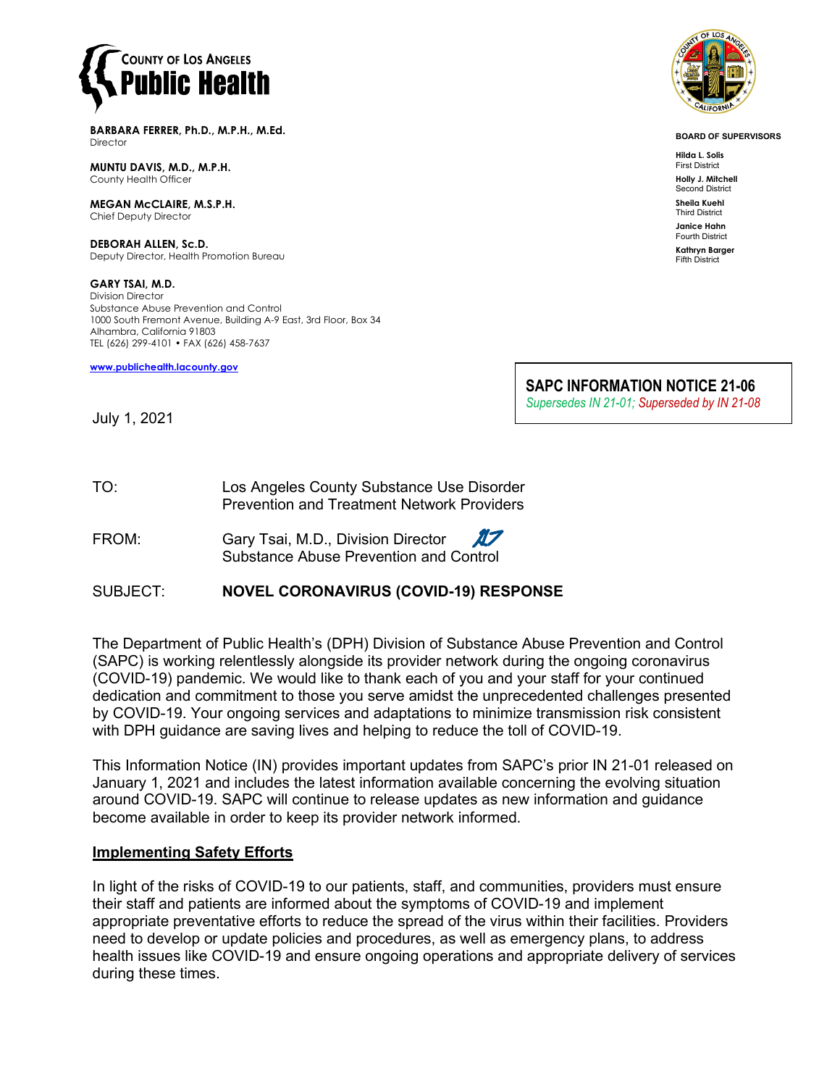

**BARBARA FERRER, Ph.D., M.P.H., M.Ed. Director** 

**MUNTU DAVIS, M.D., M.P.H.** County Health Officer

**MEGAN McCLAIRE, M.S.P.H.** Chief Deputy Director

**DEBORAH ALLEN, Sc.D.** Deputy Director, Health Promotion Bureau

**GARY TSAI, M.D.** Division Director Substance Abuse Prevention and Control 1000 South Fremont Avenue, Building A-9 East, 3rd Floor, Box 34 Alhambra, California 91803 TEL (626) 299-4101 • FAX (626) 458-7637

**[www.publichealth.lacounty.gov](http://www.publichealth.lacounty.gov/)**



**BOARD OF SUPERVISORS**

**Hilda L. Solis** First District **Holly J. Mitchell**

Second District **Sheila Kuehl**

Third District **Janice Hahn**

Fourth District **Kathryn Barger**

Fifth District

**SAPC INFORMATION NOTICE 21-06** *Supersedes IN 21-01; Superseded by IN 21-08* 

July 1, 2021

- TO: Los Angeles County Substance Use Disorder Prevention and Treatment Network Providers
- FROM: Gary Tsai, M.D., Division Director  $\pi$ Substance Abuse Prevention and Control
- SUBJECT: **NOVEL CORONAVIRUS (COVID-19) RESPONSE**

The Department of Public Health's (DPH) Division of Substance Abuse Prevention and Control (SAPC) is working relentlessly alongside its provider network during the ongoing coronavirus (COVID-19) pandemic. We would like to thank each of you and your staff for your continued dedication and commitment to those you serve amidst the unprecedented challenges presented by COVID-19. Your ongoing services and adaptations to minimize transmission risk consistent with DPH guidance are saving lives and helping to reduce the toll of COVID-19.

This Information Notice (IN) provides important updates from SAPC's prior IN 21-01 released on January 1, 2021 and includes the latest information available concerning the evolving situation around COVID-19. SAPC will continue to release updates as new information and guidance become available in order to keep its provider network informed.

### **Implementing Safety Efforts**

In light of the risks of COVID-19 to our patients, staff, and communities, providers must ensure their staff and patients are informed about the symptoms of COVID-19 and implement appropriate preventative efforts to reduce the spread of the virus within their facilities. Providers need to develop or update policies and procedures, as well as emergency plans, to address health issues like COVID-19 and ensure ongoing operations and appropriate delivery of services during these times.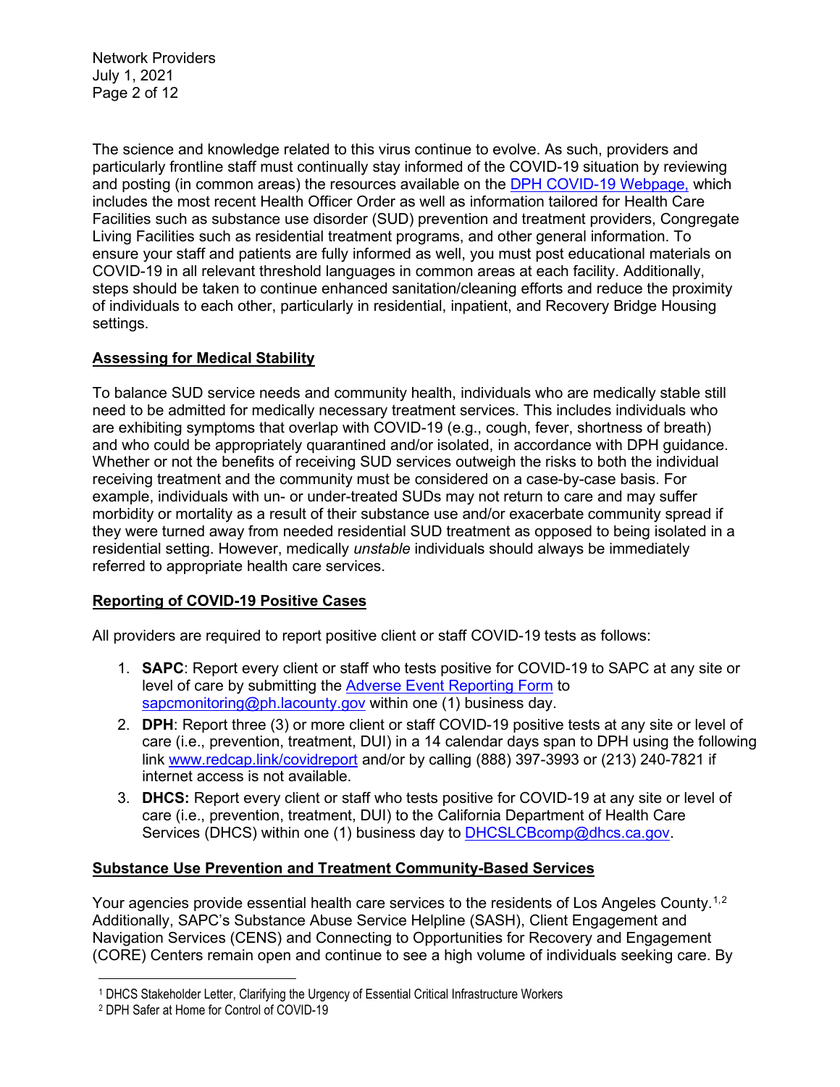Network Providers July 1, 2021 Page 2 of 12

The science and knowledge related to this virus continue to evolve. As such, providers and particularly frontline staff must continually stay informed of the COVID-19 situation by reviewing and posting (in common areas) the resources available on the [DPH COVID-19 Webpage,](http://publichealth.lacounty.gov/media/Coronavirus/) which includes the most recent Health Officer Order as well as information tailored for Health Care Facilities such as substance use disorder (SUD) prevention and treatment providers, Congregate Living Facilities such as residential treatment programs, and other general information. To ensure your staff and patients are fully informed as well, you must post educational materials on COVID-19 in all relevant threshold languages in common areas at each facility. Additionally, steps should be taken to continue enhanced sanitation/cleaning efforts and reduce the proximity of individuals to each other, particularly in residential, inpatient, and Recovery Bridge Housing settings.

# **Assessing for Medical Stability**

To balance SUD service needs and community health, individuals who are medically stable still need to be admitted for medically necessary treatment services. This includes individuals who are exhibiting symptoms that overlap with COVID-19 (e.g., cough, fever, shortness of breath) and who could be appropriately quarantined and/or isolated, in accordance with DPH guidance. Whether or not the benefits of receiving SUD services outweigh the risks to both the individual receiving treatment and the community must be considered on a case-by-case basis. For example, individuals with un- or under-treated SUDs may not return to care and may suffer morbidity or mortality as a result of their substance use and/or exacerbate community spread if they were turned away from needed residential SUD treatment as opposed to being isolated in a residential setting. However, medically *unstable* individuals should always be immediately referred to appropriate health care services.

# **Reporting of COVID-19 Positive Cases**

All providers are required to report positive client or staff COVID-19 tests as follows:

- 1. **SAPC**: Report every client or staff who tests positive for COVID-19 to SAPC at any site or level of care by submitting the [Adverse Event Reporting Form](http://publichealth.lacounty.gov/sapc/NetworkProviders/ClinicalForms/AQI/AdverseEventReportingForm.pdf) to [sapcmonitoring@ph.lacounty.gov](mailto:sapcmonitoring@ph.lacounty.gov) within one (1) business day.
- 2. **DPH**: Report three (3) or more client or staff COVID-19 positive tests at any site or level of care (i.e., prevention, treatment, DUI) in a 14 calendar days span to DPH using the following link [www.redcap.link/covidreport](http://www.redcap.link/covidreport) and/or by calling (888) 397-3993 or (213) 240-7821 if internet access is not available.
- 3. **DHCS:** Report every client or staff who tests positive for COVID-19 at any site or level of care (i.e., prevention, treatment, DUI) to the California Department of Health Care Services (DHCS) within one (1) business day to [DHCSLCBcomp@dhcs.ca.gov.](mailto:DHCSLCBcomp@dhcs.ca.gov)

### **Substance Use Prevention and Treatment Community-Based Services**

Your agencies provide essential health care services to the residents of Los Angeles County.<sup>[1,](#page-1-0)[2](#page-1-1)</sup> Additionally, SAPC's Substance Abuse Service Helpline (SASH), Client Engagement and Navigation Services (CENS) and Connecting to Opportunities for Recovery and Engagement (CORE) Centers remain open and continue to see a high volume of individuals seeking care. By

<span id="page-1-0"></span><sup>1</sup> DHCS Stakeholder Letter, Clarifying the Urgency of Essential Critical Infrastructure Workers

<span id="page-1-1"></span><sup>2</sup> DPH Safer at Home for Control of COVID-19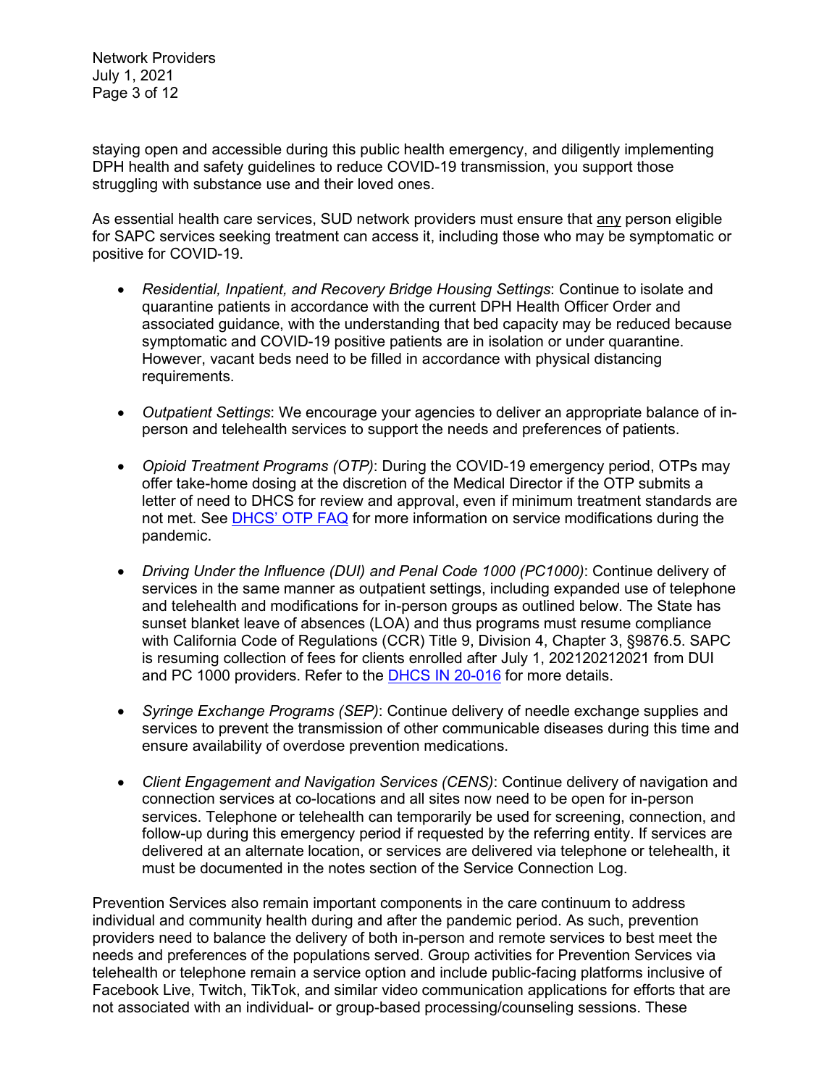Network Providers July 1, 2021 Page 3 of 12

staying open and accessible during this public health emergency, and diligently implementing DPH health and safety guidelines to reduce COVID-19 transmission, you support those struggling with substance use and their loved ones.

As essential health care services, SUD network providers must ensure that any person eligible for SAPC services seeking treatment can access it, including those who may be symptomatic or positive for COVID-19.

- *Residential, Inpatient, and Recovery Bridge Housing Settings*: Continue to isolate and quarantine patients in accordance with the current DPH Health Officer Order and associated guidance, with the understanding that bed capacity may be reduced because symptomatic and COVID-19 positive patients are in isolation or under quarantine. However, vacant beds need to be filled in accordance with physical distancing requirements.
- *Outpatient Settings*: We encourage your agencies to deliver an appropriate balance of inperson and telehealth services to support the needs and preferences of patients.
- *Opioid Treatment Programs (OTP)*: During the COVID-19 emergency period, OTPs may offer take-home dosing at the discretion of the Medical Director if the OTP submits a letter of need to DHCS for review and approval, even if minimum treatment standards are not met. See [DHCS' OTP FAQ](https://www.dhcs.ca.gov/formsandpubs/Documents/Narcotic-Treatment-Program-FAQs-Updated-7-8-2021.pdf) for more information on service modifications during the pandemic.
- *Driving Under the Influence (DUI) and Penal Code 1000 (PC1000)*: Continue delivery of services in the same manner as outpatient settings, including expanded use of telephone and telehealth and modifications for in-person groups as outlined below. The State has sunset blanket leave of absences (LOA) and thus programs must resume compliance with California Code of Regulations (CCR) Title 9, Division 4, Chapter 3, §9876.5. SAPC is resuming collection of fees for clients enrolled after July 1, 202120212021 from DUI and PC 1000 providers. Refer to the [DHCS IN 20-016](https://www.dhcs.ca.gov/formsandpubs/Documents/BHIN-20-016-Updated-7-8-2021.pdf) for more details.
- *Syringe Exchange Programs (SEP)*: Continue delivery of needle exchange supplies and services to prevent the transmission of other communicable diseases during this time and ensure availability of overdose prevention medications.
- *Client Engagement and Navigation Services (CENS)*: Continue delivery of navigation and connection services at co-locations and all sites now need to be open for in-person services. Telephone or telehealth can temporarily be used for screening, connection, and follow-up during this emergency period if requested by the referring entity. If services are delivered at an alternate location, or services are delivered via telephone or telehealth, it must be documented in the notes section of the Service Connection Log.

Prevention Services also remain important components in the care continuum to address individual and community health during and after the pandemic period. As such, prevention providers need to balance the delivery of both in-person and remote services to best meet the needs and preferences of the populations served. Group activities for Prevention Services via telehealth or telephone remain a service option and include public-facing platforms inclusive of Facebook Live, Twitch, TikTok, and similar video communication applications for efforts that are not associated with an individual- or group-based processing/counseling sessions. These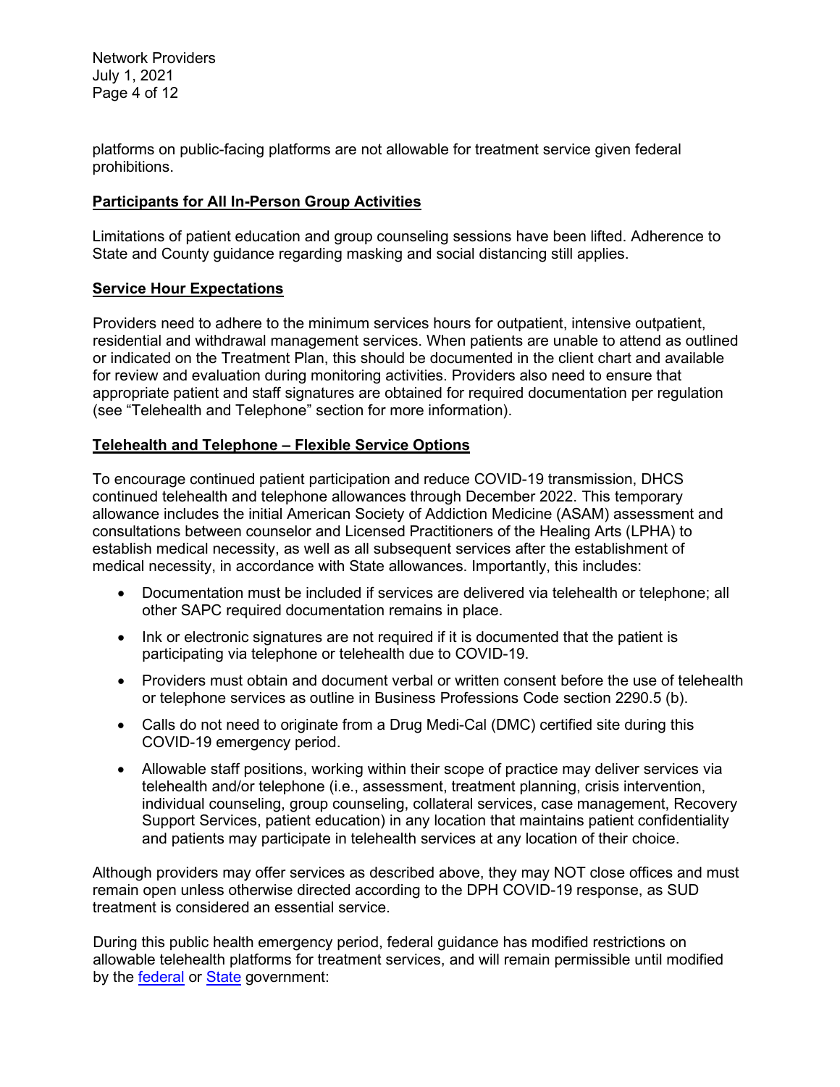Network Providers July 1, 2021 Page 4 of 12

platforms on public-facing platforms are not allowable for treatment service given federal prohibitions.

#### **Participants for All In-Person Group Activities**

Limitations of patient education and group counseling sessions have been lifted. Adherence to State and County guidance regarding masking and social distancing still applies.

#### **Service Hour Expectations**

Providers need to adhere to the minimum services hours for outpatient, intensive outpatient, residential and withdrawal management services. When patients are unable to attend as outlined or indicated on the Treatment Plan, this should be documented in the client chart and available for review and evaluation during monitoring activities. Providers also need to ensure that appropriate patient and staff signatures are obtained for required documentation per regulation (see "Telehealth and Telephone" section for more information).

#### **Telehealth and Telephone – Flexible Service Options**

To encourage continued patient participation and reduce COVID-19 transmission, DHCS continued telehealth and telephone allowances through December 2022. This temporary allowance includes the initial American Society of Addiction Medicine (ASAM) assessment and consultations between counselor and Licensed Practitioners of the Healing Arts (LPHA) to establish medical necessity, as well as all subsequent services after the establishment of medical necessity, in accordance with State allowances. Importantly, this includes:

- Documentation must be included if services are delivered via telehealth or telephone; all other SAPC required documentation remains in place.
- Ink or electronic signatures are not required if it is documented that the patient is participating via telephone or telehealth due to COVID-19.
- Providers must obtain and document verbal or written consent before the use of telehealth or telephone services as outline in Business Professions Code section 2290.5 (b).
- Calls do not need to originate from a Drug Medi-Cal (DMC) certified site during this COVID-19 emergency period.
- Allowable staff positions, working within their scope of practice may deliver services via telehealth and/or telephone (i.e., assessment, treatment planning, crisis intervention, individual counseling, group counseling, collateral services, case management, Recovery Support Services, patient education) in any location that maintains patient confidentiality and patients may participate in telehealth services at any location of their choice.

Although providers may offer services as described above, they may NOT close offices and must remain open unless otherwise directed according to the DPH COVID-19 response, as SUD treatment is considered an essential service.

During this public health emergency period, federal guidance has modified restrictions on allowable telehealth platforms for treatment services, and will remain permissible until modified by the [federal](https://www.hhs.gov/hipaa/for-professionals/special-topics/emergency-preparedness/notification-enforcement-discretion-telehealth/index.html) or [State](https://www.dhcs.ca.gov/services/Documents/Weekly-All-BH-Provider-Call-Brief-Summary-07-07-2021.pdf) government: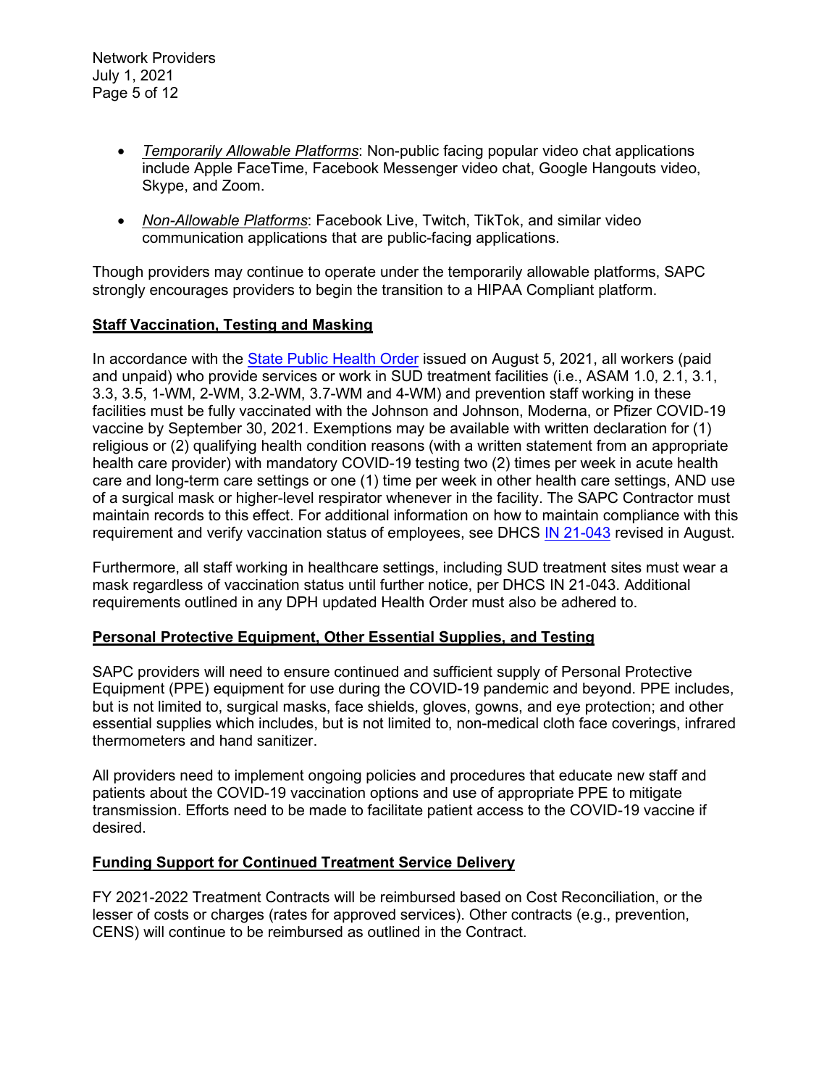- *Temporarily Allowable Platforms*: Non-public facing popular video chat applications include Apple FaceTime, Facebook Messenger video chat, Google Hangouts video, Skype, and Zoom.
- *Non-Allowable Platforms*: Facebook Live, Twitch, TikTok, and similar video communication applications that are public-facing applications.

Though providers may continue to operate under the temporarily allowable platforms, SAPC strongly encourages providers to begin the transition to a HIPAA Compliant platform.

### **Staff Vaccination, Testing and Masking**

In accordance with the [State Public Health Order](https://www.cdph.ca.gov/Programs/CID/DCDC/Pages/COVID-19/Order-of-the-State-Public-Health-Officer-Health-Care-Worker-Vaccine-Requirement.aspx) issued on August 5, 2021, all workers (paid and unpaid) who provide services or work in SUD treatment facilities (i.e., ASAM 1.0, 2.1, 3.1, 3.3, 3.5, 1-WM, 2-WM, 3.2-WM, 3.7-WM and 4-WM) and prevention staff working in these facilities must be fully vaccinated with the Johnson and Johnson, Moderna, or Pfizer COVID-19 vaccine by September 30, 2021. Exemptions may be available with written declaration for (1) religious or (2) qualifying health condition reasons (with a written statement from an appropriate health care provider) with mandatory COVID-19 testing two (2) times per week in acute health care and long-term care settings or one (1) time per week in other health care settings, AND use of a surgical mask or higher-level respirator whenever in the facility. The SAPC Contractor must maintain records to this effect. For additional information on how to maintain compliance with this requirement and verify vaccination status of employees, see DHCS [IN 21-043](https://www.dhcs.ca.gov/formsandpubs/Documents/BHIN-21-043.pdfhttps:/www.dhcs.ca.gov/formsandpubs/Documents/BHIN-21-043.pdf) revised in August.

Furthermore, all staff working in healthcare settings, including SUD treatment sites must wear a mask regardless of vaccination status until further notice, per DHCS IN 21-043. Additional requirements outlined in any DPH updated Health Order must also be adhered to.

# **Personal Protective Equipment, Other Essential Supplies, and Testing**

SAPC providers will need to ensure continued and sufficient supply of Personal Protective Equipment (PPE) equipment for use during the COVID-19 pandemic and beyond. PPE includes, but is not limited to, surgical masks, face shields, gloves, gowns, and eye protection; and other essential supplies which includes, but is not limited to, non-medical cloth face coverings, infrared thermometers and hand sanitizer.

All providers need to implement ongoing policies and procedures that educate new staff and patients about the COVID-19 vaccination options and use of appropriate PPE to mitigate transmission. Efforts need to be made to facilitate patient access to the COVID-19 vaccine if desired.

### **Funding Support for Continued Treatment Service Delivery**

FY 2021-2022 Treatment Contracts will be reimbursed based on Cost Reconciliation, or the lesser of costs or charges (rates for approved services). Other contracts (e.g., prevention, CENS) will continue to be reimbursed as outlined in the Contract.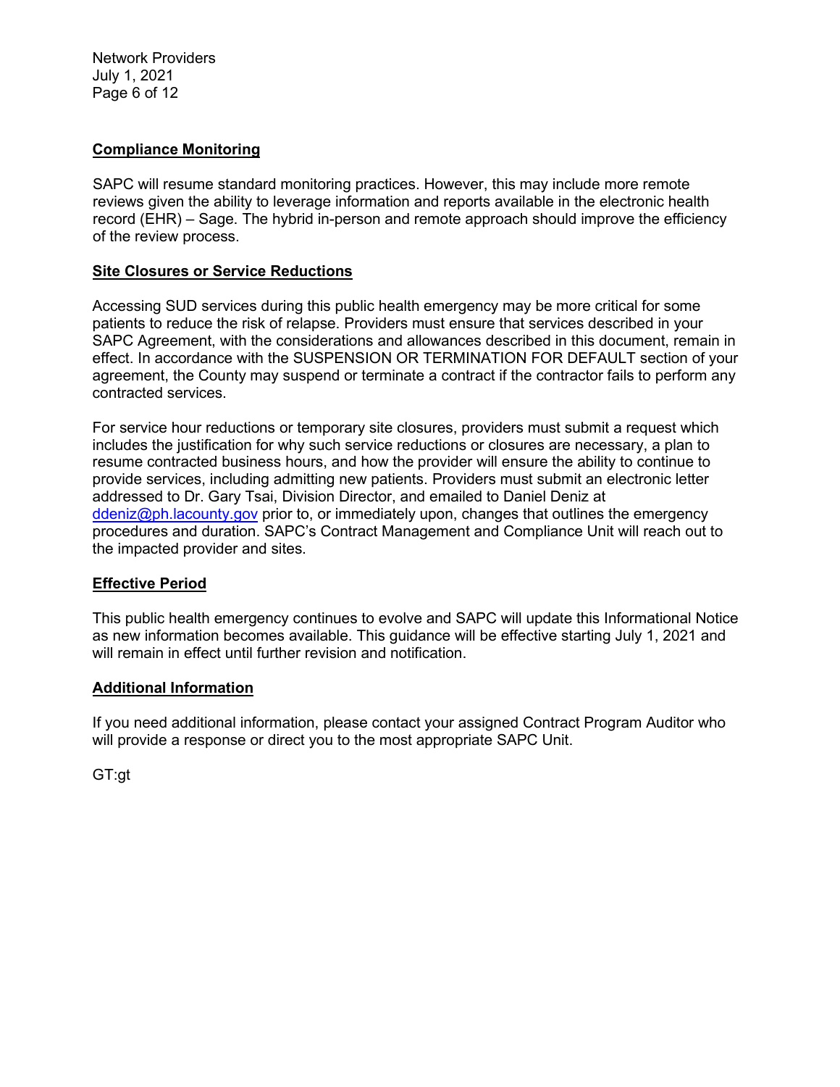Network Providers July 1, 2021 Page 6 of 12

### **Compliance Monitoring**

SAPC will resume standard monitoring practices. However, this may include more remote reviews given the ability to leverage information and reports available in the electronic health record (EHR) – Sage. The hybrid in-person and remote approach should improve the efficiency of the review process.

#### **Site Closures or Service Reductions**

Accessing SUD services during this public health emergency may be more critical for some patients to reduce the risk of relapse. Providers must ensure that services described in your SAPC Agreement, with the considerations and allowances described in this document, remain in effect. In accordance with the SUSPENSION OR TERMINATION FOR DEFAULT section of your agreement, the County may suspend or terminate a contract if the contractor fails to perform any contracted services.

For service hour reductions or temporary site closures, providers must submit a request which includes the justification for why such service reductions or closures are necessary, a plan to resume contracted business hours, and how the provider will ensure the ability to continue to provide services, including admitting new patients. Providers must submit an electronic letter addressed to Dr. Gary Tsai, Division Director, and emailed to Daniel Deniz at [ddeniz@ph.lacounty.gov](mailto:ddeniz@ph.lacounty.gov) prior to, or immediately upon, changes that outlines the emergency procedures and duration. SAPC's Contract Management and Compliance Unit will reach out to the impacted provider and sites.

### **Effective Period**

This public health emergency continues to evolve and SAPC will update this Informational Notice as new information becomes available. This guidance will be effective starting July 1, 2021 and will remain in effect until further revision and notification.

#### **Additional Information**

If you need additional information, please contact your assigned Contract Program Auditor who will provide a response or direct you to the most appropriate SAPC Unit.

GT:gt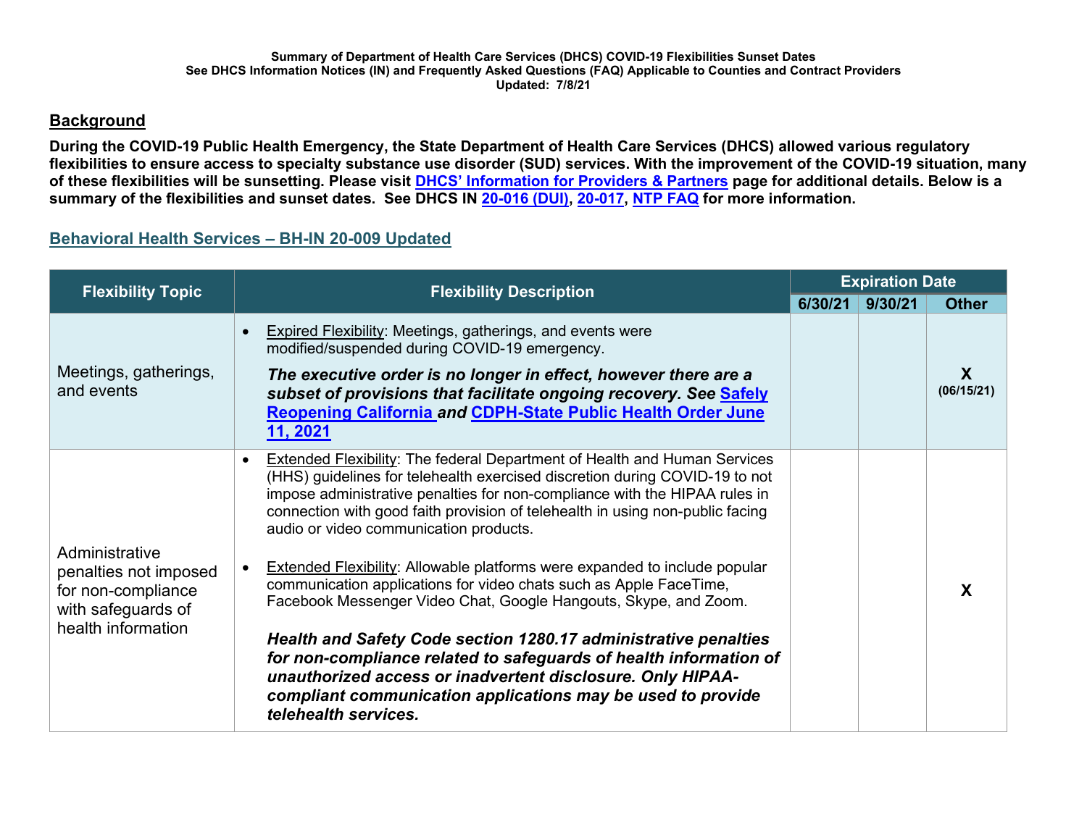# **Background**

**During the COVID-19 Public Health Emergency, the State Department of Health Care Services (DHCS) allowed various regulatory flexibilities to ensure access to specialty substance use disorder (SUD) services. With the improvement of the COVID-19 situation, many of these flexibilities will be sunsetting. Please visit [DHCS' Information for Providers & Partners](https://www.dhcs.ca.gov/Pages/COVID-19-Pro-Part.aspx) page for additional details. Below is a summary of the flexibilities and sunset dates. See DHCS IN [20-016 \(DUI\),](https://www.dhcs.ca.gov/formsandpubs/Documents/BHIN-20-016-Updated-7-8-2021.pdf) [20-017,](https://www.dhcs.ca.gov/formsandpubs/Documents/BHIN-20-017-Updated-7-8-2021.pdf) [NTP FAQ](https://www.dhcs.ca.gov/formsandpubs/Documents/Narcotic-Treatment-Program-FAQs-Updated-7-8-2021.pdf) for more information.** 

# **Behavioral Health Services – BH-IN 20-009 Updated**

| <b>Flexibility Topic</b>                                                                                  | <b>Flexibility Description</b>                                                                                                                                                                                                                                                                                                                                                                                                                                                                                                                                                                                                                                                                                                                                                                                                                                                                       | <b>Expiration Date</b> |         |                 |
|-----------------------------------------------------------------------------------------------------------|------------------------------------------------------------------------------------------------------------------------------------------------------------------------------------------------------------------------------------------------------------------------------------------------------------------------------------------------------------------------------------------------------------------------------------------------------------------------------------------------------------------------------------------------------------------------------------------------------------------------------------------------------------------------------------------------------------------------------------------------------------------------------------------------------------------------------------------------------------------------------------------------------|------------------------|---------|-----------------|
|                                                                                                           |                                                                                                                                                                                                                                                                                                                                                                                                                                                                                                                                                                                                                                                                                                                                                                                                                                                                                                      | 6/30/21                | 9/30/21 | <b>Other</b>    |
| Meetings, gatherings,<br>and events                                                                       | <b>Expired Flexibility: Meetings, gatherings, and events were</b><br>modified/suspended during COVID-19 emergency.<br>The executive order is no longer in effect, however there are a<br>subset of provisions that facilitate ongoing recovery. See Safely<br><b>Reopening California and CDPH-State Public Health Order June</b><br>11, 2021                                                                                                                                                                                                                                                                                                                                                                                                                                                                                                                                                        |                        |         | X<br>(06/15/21) |
| Administrative<br>penalties not imposed<br>for non-compliance<br>with safeguards of<br>health information | <b>Extended Flexibility: The federal Department of Health and Human Services</b><br>(HHS) guidelines for telehealth exercised discretion during COVID-19 to not<br>impose administrative penalties for non-compliance with the HIPAA rules in<br>connection with good faith provision of telehealth in using non-public facing<br>audio or video communication products.<br><b>Extended Flexibility: Allowable platforms were expanded to include popular</b><br>communication applications for video chats such as Apple FaceTime,<br>Facebook Messenger Video Chat, Google Hangouts, Skype, and Zoom.<br>Health and Safety Code section 1280.17 administrative penalties<br>for non-compliance related to safeguards of health information of<br>unauthorized access or inadvertent disclosure. Only HIPAA-<br>compliant communication applications may be used to provide<br>telehealth services. |                        |         |                 |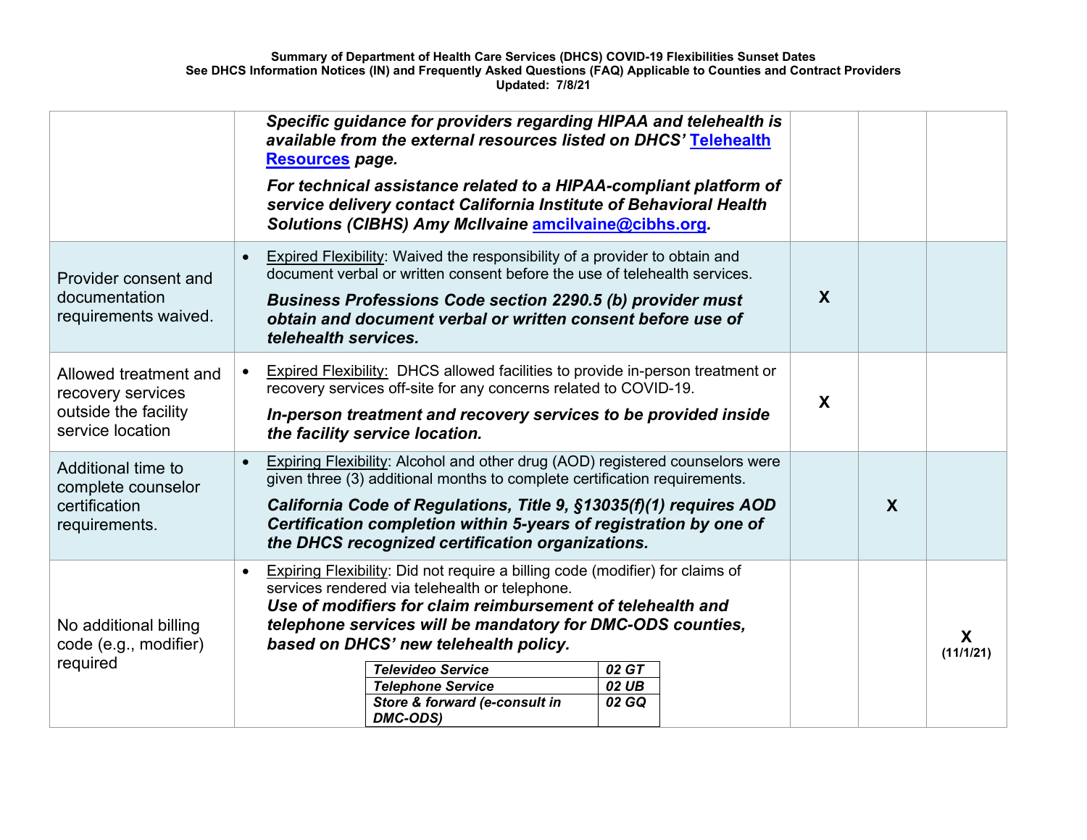|                                                                                        | Specific guidance for providers regarding HIPAA and telehealth is<br>available from the external resources listed on DHCS' Telehealth<br>Resources page.<br>For technical assistance related to a HIPAA-compliant platform of<br>service delivery contact California Institute of Behavioral Health<br>Solutions (CIBHS) Amy McIlvaine amcilvaine@cibhs.org.                                                                                                    |                  |                  |                |
|----------------------------------------------------------------------------------------|-----------------------------------------------------------------------------------------------------------------------------------------------------------------------------------------------------------------------------------------------------------------------------------------------------------------------------------------------------------------------------------------------------------------------------------------------------------------|------------------|------------------|----------------|
| Provider consent and<br>documentation<br>requirements waived.                          | <b>Expired Flexibility:</b> Waived the responsibility of a provider to obtain and<br>$\bullet$<br>document verbal or written consent before the use of telehealth services.<br><b>Business Professions Code section 2290.5 (b) provider must</b><br>obtain and document verbal or written consent before use of<br>telehealth services.                                                                                                                         | $\boldsymbol{X}$ |                  |                |
| Allowed treatment and<br>recovery services<br>outside the facility<br>service location | <b>Expired Flexibility:</b> DHCS allowed facilities to provide in-person treatment or<br>recovery services off-site for any concerns related to COVID-19.<br>In-person treatment and recovery services to be provided inside<br>the facility service location.                                                                                                                                                                                                  | X                |                  |                |
| Additional time to<br>complete counselor<br>certification<br>requirements.             | Expiring Flexibility: Alcohol and other drug (AOD) registered counselors were<br>given three (3) additional months to complete certification requirements.<br>California Code of Regulations, Title 9, §13035(f)(1) requires AOD<br>Certification completion within 5-years of registration by one of<br>the DHCS recognized certification organizations.                                                                                                       |                  | $\boldsymbol{X}$ |                |
| No additional billing<br>code (e.g., modifier)<br>required                             | <b>Expiring Flexibility:</b> Did not require a billing code (modifier) for claims of<br>$\bullet$<br>services rendered via telehealth or telephone.<br>Use of modifiers for claim reimbursement of telehealth and<br>telephone services will be mandatory for DMC-ODS counties,<br>based on DHCS' new telehealth policy.<br><b>Televideo Service</b><br>02 GT<br><b>Telephone Service</b><br>02 UB<br>Store & forward (e-consult in<br>02 GQ<br><b>DMC-ODS)</b> |                  |                  | X<br>(11/1/21) |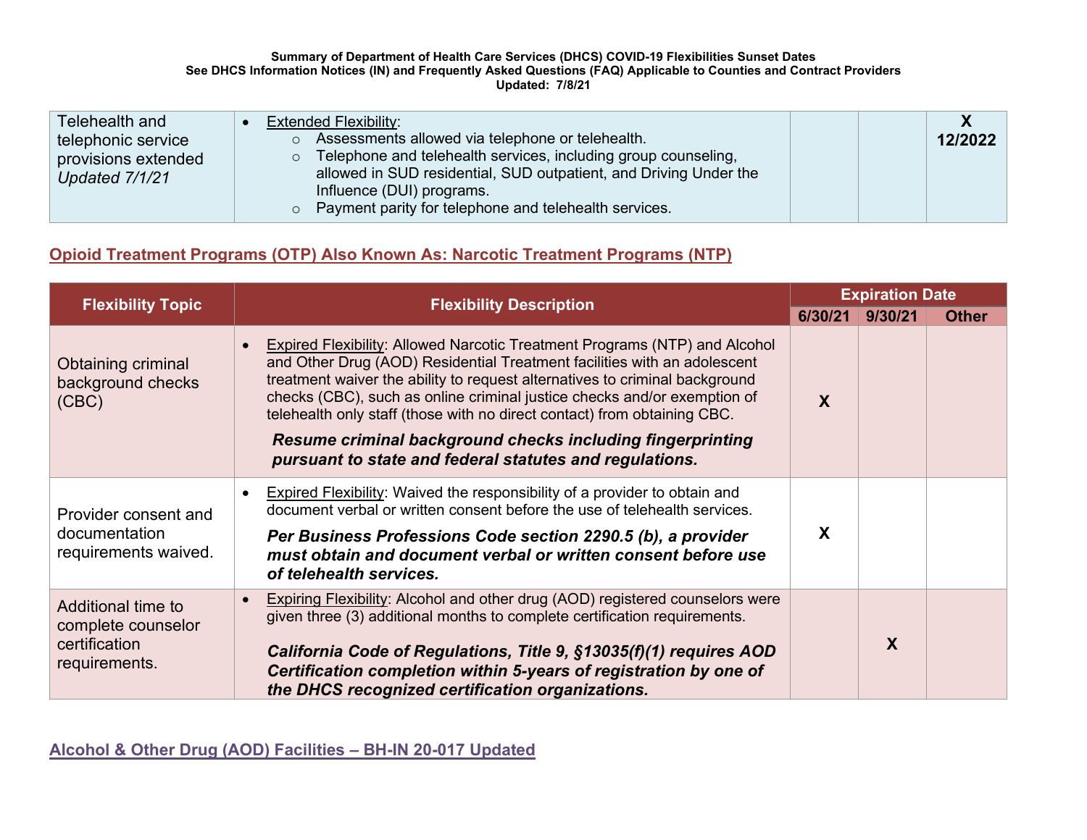#### **Summary of Department of Health Care Services (DHCS) COVID-19 Flexibilities Sunset Dates See DHCS Information Notices (IN) and Frequently Asked Questions (FAQ) Applicable to Counties and Contract Providers Updated: 7/8/21**

| Telehealth and      | <b>Extended Flexibility:</b>                                           |         |
|---------------------|------------------------------------------------------------------------|---------|
| telephonic service  | Assessments allowed via telephone or telehealth.<br>$\circ$            | 12/2022 |
| provisions extended | $\circ$ Telephone and telehealth services, including group counseling, |         |
| Updated 7/1/21      | allowed in SUD residential, SUD outpatient, and Driving Under the      |         |
|                     | Influence (DUI) programs.                                              |         |
|                     | o Payment parity for telephone and telehealth services.                |         |

# **Opioid Treatment Programs (OTP) Also Known As: Narcotic Treatment Programs (NTP)**

| <b>Flexibility Topic</b>                                                   | <b>Flexibility Description</b>                                                                                                                                                                                                                                                                                                                                                                                                                                                                                                |         | <b>Expiration Date</b> |              |  |
|----------------------------------------------------------------------------|-------------------------------------------------------------------------------------------------------------------------------------------------------------------------------------------------------------------------------------------------------------------------------------------------------------------------------------------------------------------------------------------------------------------------------------------------------------------------------------------------------------------------------|---------|------------------------|--------------|--|
|                                                                            |                                                                                                                                                                                                                                                                                                                                                                                                                                                                                                                               | 6/30/21 | 9/30/21                | <b>Other</b> |  |
| <b>Obtaining criminal</b><br>background checks<br>(CBC)                    | <b>Expired Flexibility: Allowed Narcotic Treatment Programs (NTP) and Alcohol</b><br>and Other Drug (AOD) Residential Treatment facilities with an adolescent<br>treatment waiver the ability to request alternatives to criminal background<br>checks (CBC), such as online criminal justice checks and/or exemption of<br>telehealth only staff (those with no direct contact) from obtaining CBC.<br>Resume criminal background checks including fingerprinting<br>pursuant to state and federal statutes and regulations. | X       |                        |              |  |
| Provider consent and<br>documentation<br>requirements waived.              | <b>Expired Flexibility:</b> Waived the responsibility of a provider to obtain and<br>$\bullet$<br>document verbal or written consent before the use of telehealth services.<br>Per Business Professions Code section 2290.5 (b), a provider<br>must obtain and document verbal or written consent before use<br>of telehealth services.                                                                                                                                                                                       | X       |                        |              |  |
| Additional time to<br>complete counselor<br>certification<br>requirements. | <b>Expiring Flexibility:</b> Alcohol and other drug (AOD) registered counselors were<br>given three (3) additional months to complete certification requirements.<br>California Code of Regulations, Title 9, §13035(f)(1) requires AOD<br>Certification completion within 5-years of registration by one of<br>the DHCS recognized certification organizations.                                                                                                                                                              |         | X                      |              |  |

**Alcohol & Other Drug (AOD) Facilities – [BH-IN 20-017](https://www.dhcs.ca.gov/formsandpubs/Documents/BHIN-20-017-Alcohol-and-Other-Drug-Facilities.pdf) Updated**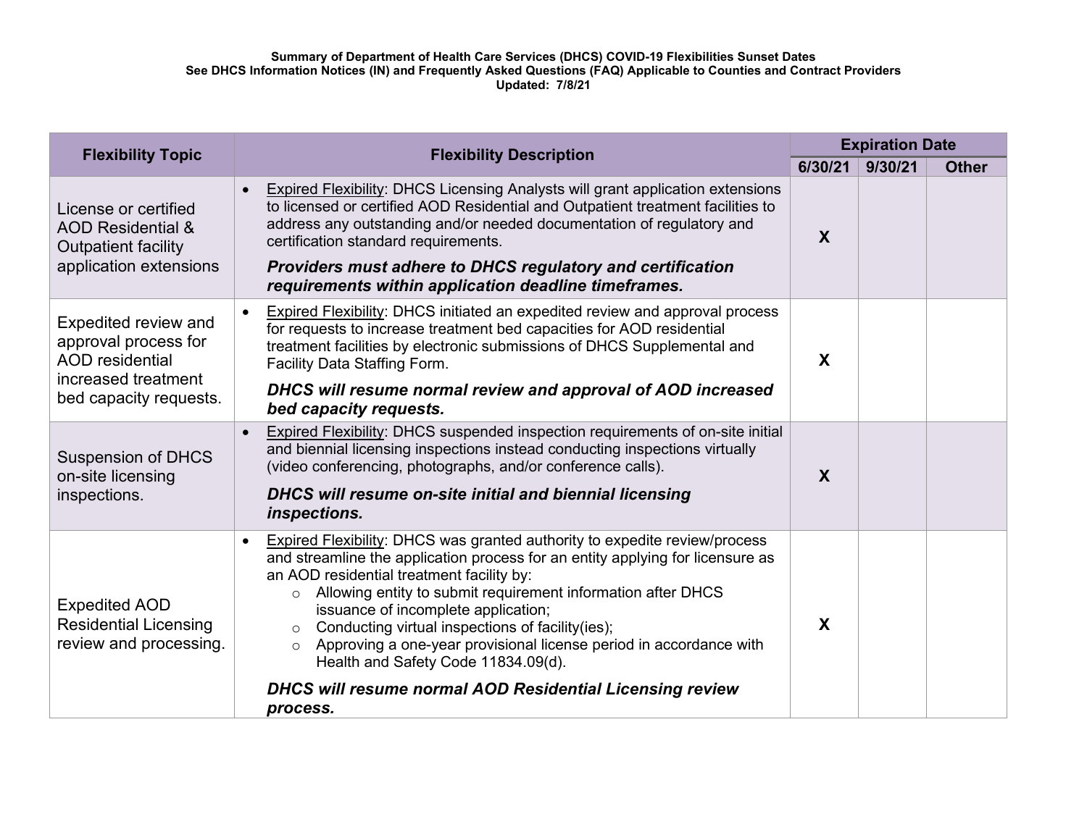| <b>Flexibility Topic</b>                                                                                                       | <b>Flexibility Description</b>                                                                                                                                                                                                                                                                                                                                                                                                                                                                                                                                                                                        |                  | <b>Expiration Date</b> |              |  |
|--------------------------------------------------------------------------------------------------------------------------------|-----------------------------------------------------------------------------------------------------------------------------------------------------------------------------------------------------------------------------------------------------------------------------------------------------------------------------------------------------------------------------------------------------------------------------------------------------------------------------------------------------------------------------------------------------------------------------------------------------------------------|------------------|------------------------|--------------|--|
|                                                                                                                                |                                                                                                                                                                                                                                                                                                                                                                                                                                                                                                                                                                                                                       | 6/30/21          | 9/30/21                | <b>Other</b> |  |
| License or certified<br><b>AOD Residential &amp;</b><br><b>Outpatient facility</b><br>application extensions                   | <b>Expired Flexibility: DHCS Licensing Analysts will grant application extensions</b><br>$\bullet$<br>to licensed or certified AOD Residential and Outpatient treatment facilities to<br>address any outstanding and/or needed documentation of regulatory and<br>certification standard requirements.<br><b>Providers must adhere to DHCS regulatory and certification</b><br>requirements within application deadline timeframes.                                                                                                                                                                                   | $\boldsymbol{X}$ |                        |              |  |
| <b>Expedited review and</b><br>approval process for<br><b>AOD</b> residential<br>increased treatment<br>bed capacity requests. | <b>Expired Flexibility: DHCS initiated an expedited review and approval process</b><br>$\bullet$<br>for requests to increase treatment bed capacities for AOD residential<br>treatment facilities by electronic submissions of DHCS Supplemental and<br>Facility Data Staffing Form.<br>DHCS will resume normal review and approval of AOD increased<br>bed capacity requests.                                                                                                                                                                                                                                        | X                |                        |              |  |
| <b>Suspension of DHCS</b><br>on-site licensing<br>inspections.                                                                 | Expired Flexibility: DHCS suspended inspection requirements of on-site initial<br>$\bullet$<br>and biennial licensing inspections instead conducting inspections virtually<br>(video conferencing, photographs, and/or conference calls).<br>DHCS will resume on-site initial and biennial licensing<br>inspections.                                                                                                                                                                                                                                                                                                  | X                |                        |              |  |
| <b>Expedited AOD</b><br><b>Residential Licensing</b><br>review and processing.                                                 | <b>Expired Flexibility: DHCS was granted authority to expedite review/process</b><br>$\bullet$<br>and streamline the application process for an entity applying for licensure as<br>an AOD residential treatment facility by:<br>Allowing entity to submit requirement information after DHCS<br>$\circ$<br>issuance of incomplete application;<br>Conducting virtual inspections of facility(ies);<br>$\circ$<br>Approving a one-year provisional license period in accordance with<br>$\circ$<br>Health and Safety Code 11834.09(d).<br><b>DHCS will resume normal AOD Residential Licensing review</b><br>process. | X                |                        |              |  |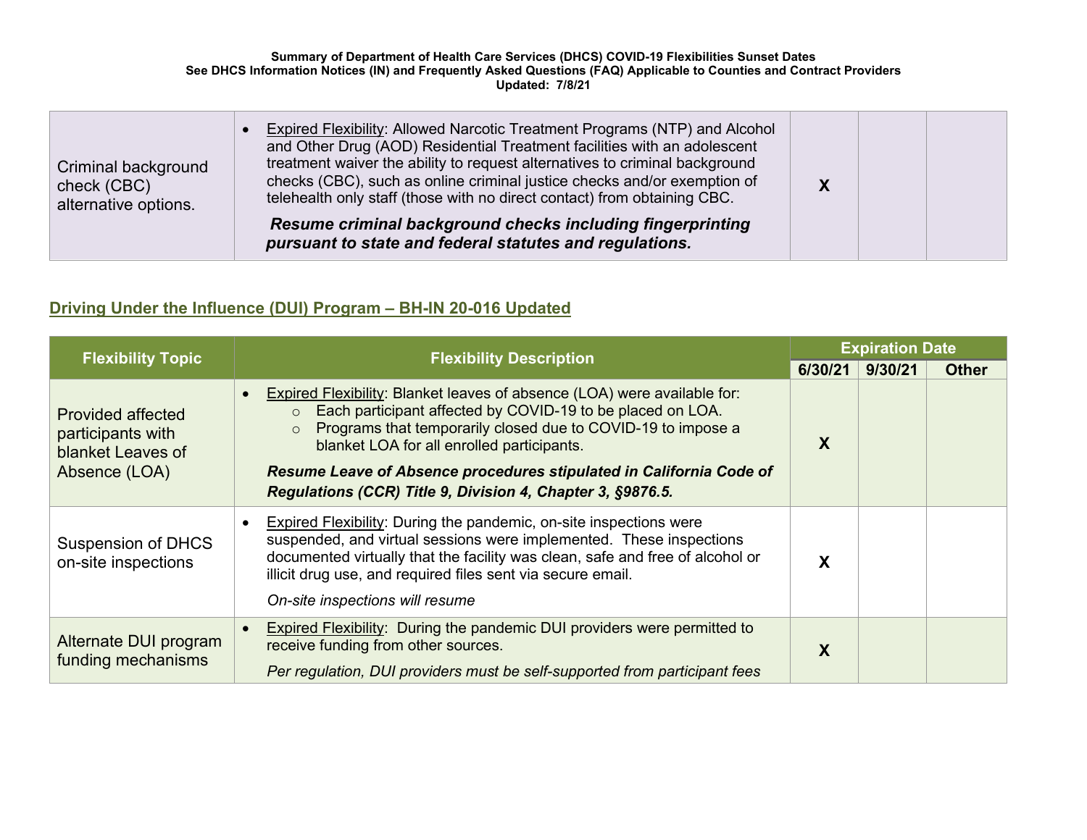| Criminal background<br>check (CBC)<br>alternative options. | Expired Flexibility: Allowed Narcotic Treatment Programs (NTP) and Alcohol<br>and Other Drug (AOD) Residential Treatment facilities with an adolescent<br>treatment waiver the ability to request alternatives to criminal background<br>checks (CBC), such as online criminal justice checks and/or exemption of<br>telehealth only staff (those with no direct contact) from obtaining CBC. |  |  |
|------------------------------------------------------------|-----------------------------------------------------------------------------------------------------------------------------------------------------------------------------------------------------------------------------------------------------------------------------------------------------------------------------------------------------------------------------------------------|--|--|
|                                                            | Resume criminal background checks including fingerprinting<br>pursuant to state and federal statutes and regulations.                                                                                                                                                                                                                                                                         |  |  |

# **Driving Under the Influence (DUI) Program – BH-IN 20-016 Updated**

| <b>Flexibility Topic</b>                                                            | <b>Flexibility Description</b>                                                                                                                                                                                                                                                                                                                                                                                               | <b>Expiration Date</b> |         |              |
|-------------------------------------------------------------------------------------|------------------------------------------------------------------------------------------------------------------------------------------------------------------------------------------------------------------------------------------------------------------------------------------------------------------------------------------------------------------------------------------------------------------------------|------------------------|---------|--------------|
|                                                                                     |                                                                                                                                                                                                                                                                                                                                                                                                                              | 6/30/21                | 9/30/21 | <b>Other</b> |
| <b>Provided affected</b><br>participants with<br>blanket Leaves of<br>Absence (LOA) | Expired Flexibility: Blanket leaves of absence (LOA) were available for:<br>$\bullet$<br>Each participant affected by COVID-19 to be placed on LOA.<br>$\circ$<br>Programs that temporarily closed due to COVID-19 to impose a<br>$\circ$<br>blanket LOA for all enrolled participants.<br>Resume Leave of Absence procedures stipulated in California Code of<br>Regulations (CCR) Title 9, Division 4, Chapter 3, §9876.5. | X                      |         |              |
| <b>Suspension of DHCS</b><br>on-site inspections                                    | Expired Flexibility: During the pandemic, on-site inspections were<br>$\bullet$<br>suspended, and virtual sessions were implemented. These inspections<br>documented virtually that the facility was clean, safe and free of alcohol or<br>illicit drug use, and required files sent via secure email.<br>On-site inspections will resume                                                                                    | χ                      |         |              |
| Alternate DUI program<br>funding mechanisms                                         | <b>Expired Flexibility:</b> During the pandemic DUI providers were permitted to<br>receive funding from other sources.<br>Per regulation, DUI providers must be self-supported from participant fees                                                                                                                                                                                                                         | X                      |         |              |